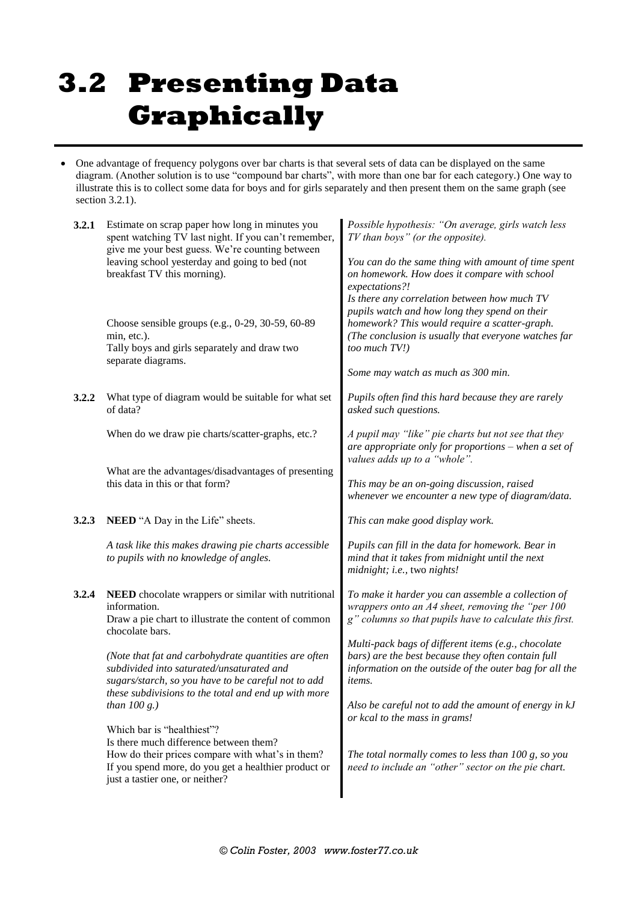# **3.2 Presenting Data Graphically**

 One advantage of frequency polygons over bar charts is that several sets of data can be displayed on the same diagram. (Another solution is to use "compound bar charts", with more than one bar for each category.) One way to illustrate this is to collect some data for boys and for girls separately and then present them on the same graph (see section 3.2.1).

| 3.2.1 | Estimate on scrap paper how long in minutes you<br>spent watching TV last night. If you can't remember,<br>give me your best guess. We're counting between<br>leaving school yesterday and going to bed (not<br>breakfast TV this morning).                                                                                                                        | Possible hypothesis: "On average, girls watch less<br>TV than boys" (or the opposite).<br>You can do the same thing with amount of time spent<br>on homework. How does it compare with school<br>expectations?!<br>Is there any correlation between how much TV<br>pupils watch and how long they spend on their |  |
|-------|--------------------------------------------------------------------------------------------------------------------------------------------------------------------------------------------------------------------------------------------------------------------------------------------------------------------------------------------------------------------|------------------------------------------------------------------------------------------------------------------------------------------------------------------------------------------------------------------------------------------------------------------------------------------------------------------|--|
|       | Choose sensible groups (e.g., 0-29, 30-59, 60-89<br>min, etc.).<br>Tally boys and girls separately and draw two<br>separate diagrams.                                                                                                                                                                                                                              | homework? This would require a scatter-graph.<br>(The conclusion is usually that everyone watches far<br>too much TV!)<br>Some may watch as much as 300 min.                                                                                                                                                     |  |
| 3.2.2 | What type of diagram would be suitable for what set<br>of data?                                                                                                                                                                                                                                                                                                    | Pupils often find this hard because they are rarely<br>asked such questions.                                                                                                                                                                                                                                     |  |
|       | When do we draw pie charts/scatter-graphs, etc.?<br>What are the advantages/disadvantages of presenting<br>this data in this or that form?                                                                                                                                                                                                                         | A pupil may "like" pie charts but not see that they<br>are appropriate only for proportions - when a set of<br>values adds up to a "whole".                                                                                                                                                                      |  |
|       |                                                                                                                                                                                                                                                                                                                                                                    | This may be an on-going discussion, raised<br>whenever we encounter a new type of diagram/data.                                                                                                                                                                                                                  |  |
| 3.2.3 | <b>NEED</b> "A Day in the Life" sheets.                                                                                                                                                                                                                                                                                                                            | This can make good display work.                                                                                                                                                                                                                                                                                 |  |
|       | A task like this makes drawing pie charts accessible<br>to pupils with no knowledge of angles.                                                                                                                                                                                                                                                                     | Pupils can fill in the data for homework. Bear in<br>mind that it takes from midnight until the next<br>midnight; i.e., two nights!                                                                                                                                                                              |  |
| 3.2.4 | NEED chocolate wrappers or similar with nutritional<br>information.<br>Draw a pie chart to illustrate the content of common<br>chocolate bars.<br>(Note that fat and carbohydrate quantities are often<br>subdivided into saturated/unsaturated and<br>sugars/starch, so you have to be careful not to add<br>these subdivisions to the total and end up with more | To make it harder you can assemble a collection of<br>wrappers onto an A4 sheet, removing the "per 100<br>g" columns so that pupils have to calculate this first.                                                                                                                                                |  |
|       |                                                                                                                                                                                                                                                                                                                                                                    | Multi-pack bags of different items (e.g., chocolate<br>bars) are the best because they often contain full<br>information on the outside of the outer bag for all the<br><i>items.</i>                                                                                                                            |  |
|       | than $100 g.)$<br>Which bar is "healthiest"?<br>Is there much difference between them?<br>How do their prices compare with what's in them?<br>If you spend more, do you get a healthier product or<br>just a tastier one, or neither?                                                                                                                              | Also be careful not to add the amount of energy in kJ<br>or kcal to the mass in grams!<br>The total normally comes to less than $100$ g, so you<br>need to include an "other" sector on the pie chart.                                                                                                           |  |
|       |                                                                                                                                                                                                                                                                                                                                                                    |                                                                                                                                                                                                                                                                                                                  |  |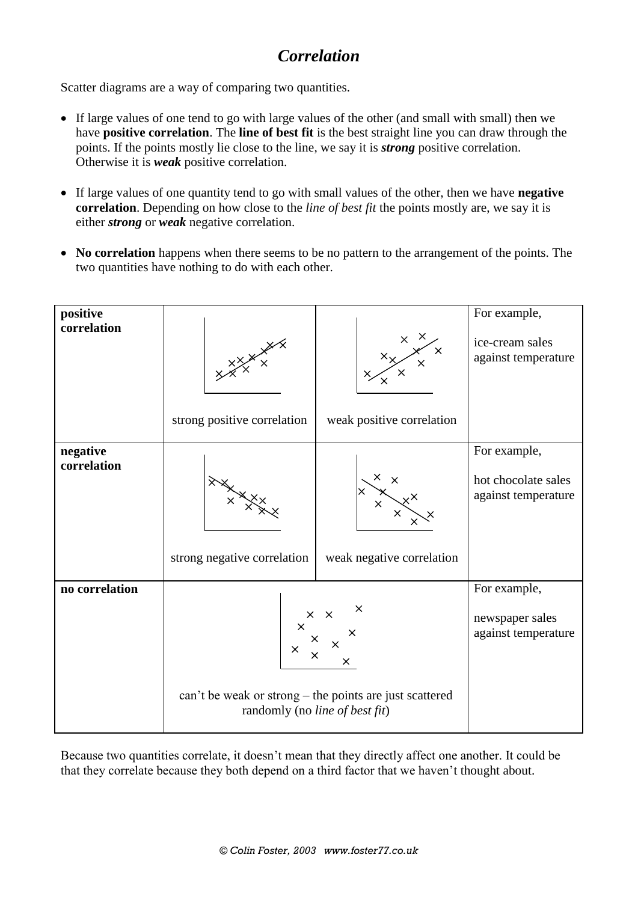## *Correlation*

Scatter diagrams are a way of comparing two quantities.

- If large values of one tend to go with large values of the other (and small with small) then we have **positive correlation**. The **line of best fit** is the best straight line you can draw through the points. If the points mostly lie close to the line, we say it is *strong* positive correlation. Otherwise it is *weak* positive correlation.
- If large values of one quantity tend to go with small values of the other, then we have **negative correlation**. Depending on how close to the *line of best fit* the points mostly are, we say it is either *strong* or *weak* negative correlation.
- No correlation happens when there seems to be no pattern to the arrangement of the points. The two quantities have nothing to do with each other.

| positive       |                                                                                           |                                                    | For example,                               |
|----------------|-------------------------------------------------------------------------------------------|----------------------------------------------------|--------------------------------------------|
| correlation    | $x^{\times}$<br>strong positive correlation                                               | $x \times x \times x$<br>weak positive correlation | ice-cream sales<br>against temperature     |
| negative       |                                                                                           |                                                    | For example,                               |
| correlation    | strong negative correlation                                                               | weak negative correlation                          | hot chocolate sales<br>against temperature |
| no correlation |                                                                                           |                                                    | For example,                               |
|                | x x x x<br>$\times$                                                                       |                                                    | newspaper sales<br>against temperature     |
|                | can't be weak or strong – the points are just scattered<br>randomly (no line of best fit) |                                                    |                                            |

Because two quantities correlate, it doesn't mean that they directly affect one another. It could be that they correlate because they both depend on a third factor that we haven't thought about.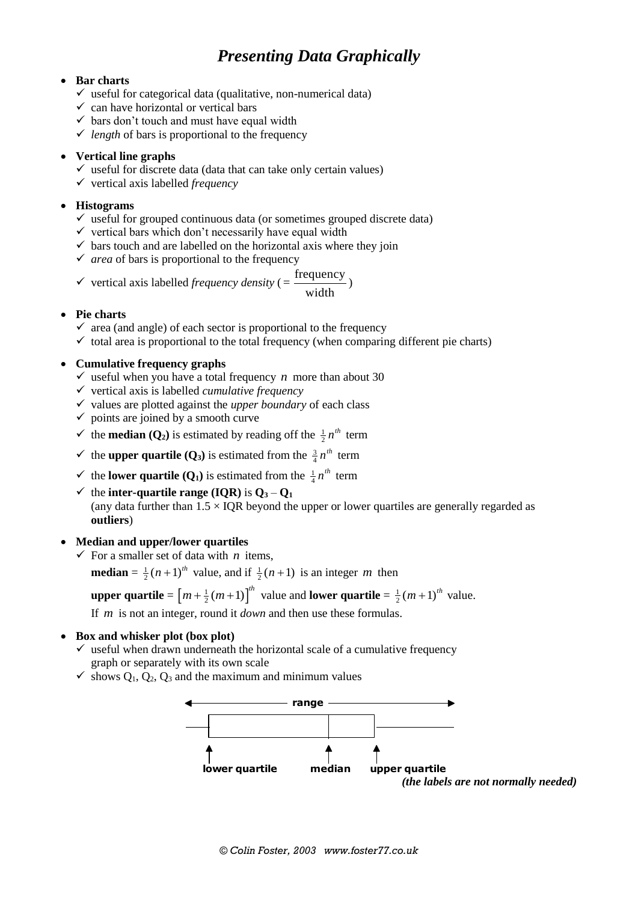### *Presenting Data Graphically*

#### **Bar charts**

- $\checkmark$  useful for categorical data (qualitative, non-numerical data)
- $\checkmark$  can have horizontal or vertical bars
- $\checkmark$  bars don't touch and must have equal width
- $\checkmark$  *length* of bars is proportional to the frequency

#### **Vertical line graphs**

- $\checkmark$  useful for discrete data (data that can take only certain values)
- $\checkmark$  vertical axis labelled *frequency*

#### **Histograms**

- $\checkmark$  useful for grouped continuous data (or sometimes grouped discrete data)
- $\checkmark$  vertical bars which don't necessarily have equal width
- $\checkmark$  bars touch and are labelled on the horizontal axis where they join
- $\checkmark$  *area* of bars is proportional to the frequency

$$
\checkmark \quad \text{vertical axis labelled frequency density} \, (= \frac{\text{frequency}}{\text{width}})
$$

#### **Pie charts**

- $\checkmark$  area (and angle) of each sector is proportional to the frequency
- $\checkmark$  total area is proportional to the total frequency (when comparing different pie charts)

#### **Cumulative frequency graphs**

- $\checkmark$  useful when you have a total frequency *n* more than about 30
- $\checkmark$  vertical axis is labelled *cumulative frequency*
- $\checkmark$  values are plotted against the *upper boundary* of each class
- $\checkmark$  points are joined by a smooth curve
- $\checkmark$  the **median** (**Q**<sub>2</sub>) is estimated by reading off the  $\frac{1}{2}$  $n^{th}$  term
- $\checkmark$  the **upper quartile (Q**<sub>3</sub>) is estimated from the  $\frac{3}{4}$  $n^{th}$  term
- $\checkmark$  the **lower quartile** (**Q**<sub>1</sub>) is estimated from the  $\frac{1}{4}$  $n^{th}$  term
- $\checkmark$  the **inter-quartile range (IQR)** is  $Q_3 Q_1$ (any data further than  $1.5 \times IQR$  beyond the upper or lower quartiles are generally regarded as **outliers**)

#### **Median and upper/lower quartiles**

 $\checkmark$  For a smaller set of data with *n* items,

**median** =  $\frac{1}{2}(n+1)^{th}$  value, and if  $\frac{1}{2}(n+1)$  is an integer *m* then

**upper quartile** =  $\left[m + \frac{1}{2}(m+1)\right]^h$  value and **lower quartile** =  $\frac{1}{2}(m+1)^{th}$  value.

If *m* is not an integer, round it *down* and then use these formulas.

#### **Box and whisker plot (box plot)**

- $\checkmark$  useful when drawn underneath the horizontal scale of a cumulative frequency graph or separately with its own scale
- $\checkmark$  shows  $O_1$ ,  $O_2$ ,  $O_3$  and the maximum and minimum values